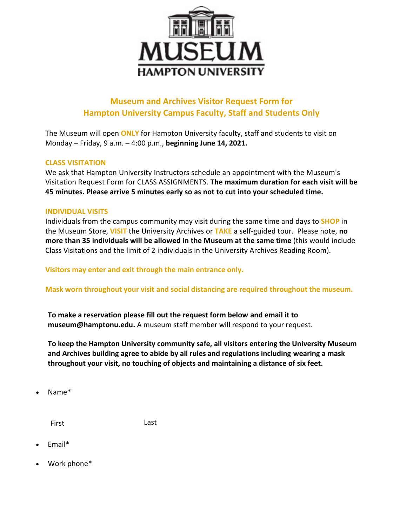

## **Museum and Archives Visitor Request Form for Hampton University Campus Faculty, Staff and Students Only**

The Museum will open **ONLY** for Hampton University faculty, staff and students to visit on Monday – Friday, 9 a.m. – 4:00 p.m., **beginning June 14, 2021.**

## **CLASS VISITATION**

We ask that Hampton University Instructors schedule an appointment with the Museum's Visitation Request Form for CLASS ASSIGNMENTS. **The maximum duration for each visit will be 45 minutes. Please arrive 5 minutes early so as not to cut into your scheduled time.**

## **INDIVIDUAL VISITS**

Individuals from the campus community may visit during the same time and days to **SHOP** in the Museum Store, **VISIT** the University Archives or **TAKE** a self-guided tour. Please note, **no more than 35 individuals will be allowed in the Museum at the same time** (this would include Class Visitations and the limit of 2 individuals in the University Archives Reading Room).

**Visitors may enter and exit through the main entrance only.** 

**Mask worn throughout your visit and social distancing are required throughout the museum.** 

**To make a reservation please fill out the request form below and email it to museum@hamptonu.edu.** A museum staff member will respond to your request.

**To keep the Hampton University community safe, all visitors entering the University Museum and Archives building agree to abide by all rules and regulations including wearing a mask throughout your visit, no touching of objects and maintaining a distance of six feet.** 

Name\*

First Last

- Email\*
- Work phone\*